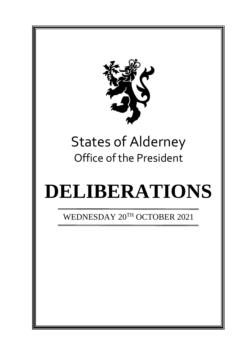

# States of Alderney Office of the President

# **DELIBERATIONS**

WEDNESDAY 20TH OCTOBER 2021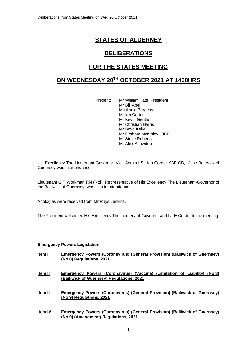# **STATES OF ALDERNEY**

### **DELIBERATIONS**

# **FOR THE STATES MEETING**

## **ON WEDNESDAY 20 TH OCTOBER 2021 AT 1430HRS**

Present: Mr William Tate, President Mr Bill Abel Ms Annie Burgess Mr Ian Carter Mr Kevin Gentle Mr Christian Harris Mr Boyd Kelly Mr Graham McKinley, OBE Mr Steve Roberts Mr Alex Snowdon

His Excellency The Lieutenant-Governor, Vice Admiral Sir Ian Corder KBE CB, of the Bailiwick of Guernsey was in attendance.

Lieutenant G T Workman RN (Rtd), Representative of His Excellency The Lieutenant-Governor of the Bailiwick of Guernsey, was also in attendance.

Apologies were received from Mr Rhys Jenkins.

The President welcomed His Excellency The Lieutenant-Governor and Lady Corder to the meeting.

#### **Emergency Powers Legislation:-**

- **Item I Emergency Powers (Coronavirus) (General Provision) (Bailiwick of Guernsey) (No.8) Regulations, 2021**
- **Item II Emergency Powers (Coronavirus) (Vaccine) (Limitation of Liability) (No.8) (Bailiwick of Guernsey) Regulations, 2021**

**Item III Emergency Powers (Coronavirus) (General Provision) (Bailiwick of Guernsey) (No.9) Regulations, 2021**

**Item IV Emergency Powers (Coronavirus) (General Provision) (Bailiwick of Guernsey) (No.9) (Amendment) Regulations, 2021**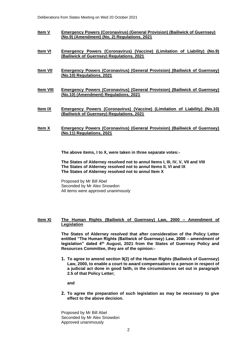- **Item V Emergency Powers (Coronavirus) (General Provision) (Bailiwick of Guernsey) (No.9) (Amendment) (No, 2) Regulations, 2021**
- **Item VI Emergency Powers (Coronavirus) (Vaccine) (Limitation of Liability) (No.9) (Bailiwick of Guernsey) Regulations, 2021**
- **Item VII Emergency Powers (Coronavirus) (General Provision) (Bailiwick of Guernsey) (No.10) Regulations, 2021**
- **Item VIII Emergency Powers (Coronavirus) (General Provision) (Bailiwick of Guernsey) (No.10) (Amendment) Regulations, 2021**
- **Item IX Emergency Powers (Coronavirus) (Vaccine) (Limitation of Liability) (No.10) (Bailiwick of Guernsey) Regulations, 2021**
- **Item X Emergency Powers (Coronavirus) (General Provision) (Bailiwick of Guernsey) (No.11) Regulations, 2021**

**The above items, I to X, were taken in three separate votes:-**

**The States of Alderney resolved not to annul Items I, III, IV, V, VII and VIII The States of Alderney resolved not to annul Items II, VI and IX The States of Alderney resolved not to annul Item X**

Proposed by Mr Bill Abel Seconded by Mr Alex Snowdon All items were approved unanimously

#### **Item XI The Human Rights (Bailiwick of Guernsey) Law, 2000 – Amendment of Legislation**

**The States of Alderney resolved that after consideration of the Policy Letter entitled "The Human Rights (Bailiwick of Guernsey) Law, 2000 – amendment of legislation" dated 4th August, 2021 from the States of Guernsey Policy and Resources Committee, they are of the opinion:-**

**1. To agree to amend section 9(2) of the Human Rights (Bailiwick of Guernsey) Law, 2000, to enable a court to award compensation to a person in respect of a judicial act done in good faith, in the circumstances set out in paragraph 2.5 of that Policy Letter;** 

**and** 

**2. To agree the preparation of such legislation as may be necessary to give effect to the above decision.**

Proposed by Mr Bill Abel Seconded by Mr Alex Snowdon Approved unanimously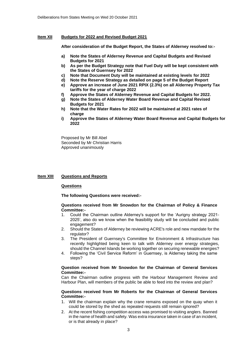#### **Item XII Budgets for 2022 and Revised Budget 2021**

**After consideration of the Budget Report, the States of Alderney resolved to:-**

- **a) Note the States of Alderney Revenue and Capital Budgets and Revised Budgets for 2021**
- **b) As per the Budget Strategy note that Fuel Duty will be kept consistent with the States of Guernsey for 2022**
- **c) Note that Document Duty will be maintained at existing levels for 2022**
- **d) Note the Reserve Strategy as detailed on page 5 of the Budget Report**
- **e) Approve an increase of June 2021 RPIX (2.3%) on all Alderney Property Tax tariffs for the year of charge 2022**
- **f) Approve the States of Alderney Revenue and Capital Budgets for 2022.**
- **g) Note the States of Alderney Water Board Revenue and Capital Revised Budgets for 2021**
- **h) Note that the Water Rates for 2022 will be maintained at 2021 rates of charge**
- **i) Approve the States of Alderney Water Board Revenue and Capital Budgets for 2022**

Proposed by Mr Bill Abel Seconded by Mr Christian Harris Approved unanimously

#### **Item XIII Questions and Reports**

#### **Questions**

**The following Questions were received:-**

#### **Questions received from Mr Snowdon for the Chairman of Policy & Finance Committee:-**

- 1. Could the Chairman outline Alderney's support for the 'Aurigny strategy 2021- 2025', also do we know when the feasibility study will be concluded and public engagement?
- 2. Should the States of Alderney be reviewing ACRE's role and new mandate for the regulator?
- 3. The President of Guernsey's Committee for Environment & Infrastructure has recently highlighted being keen to talk with Alderney over energy strategies, should the Channel Islands be working together on securing renewable energies?
- 4. Following the 'Civil Service Reform' in Guernsey, is Alderney taking the same steps?

#### **Question received from Mr Snowdon for the Chairman of General Services Committee:-**

Can the Chairman outline progress with the Harbour Management Review and Harbour Plan, will members of the public be able to feed into the review and plan?

#### **Questions received from Mr Roberts for the Chairman of General Services Committee:-**

- 1. Will the chairman explain why the crane remains exposed on the quay when it could be stored by the shed as repeated requests still remain ignored?
- 2. At the recent fishing competition access was promised to visiting anglers. Banned in the name of health and safety. Was extra insurance taken in case of an incident, or is that already in place?